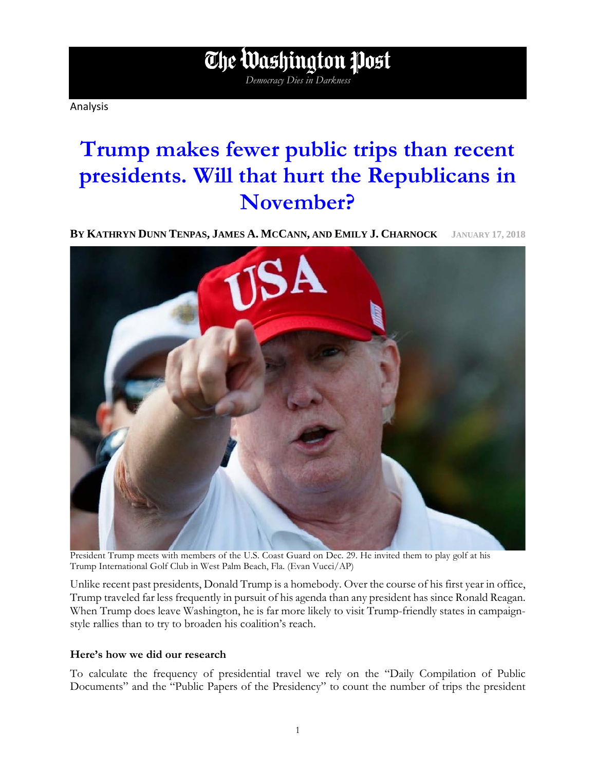Analysis

## **Trump makes fewer public trips than recent presidents. Will that hurt the Republicans in November?**

*Democracy Dies in Darkness*

The Washington Post

**BY KATHRYN DUNN TENPAS, JAMES A. MCCANN, AND EMILY J. CHARNOCK JANUARY 17, 2018**



President Trump meets with members of the U.S. Coast Guard on Dec. 29. He invited them to play golf at his Trump International Golf Club in West Palm Beach, Fla. (Evan Vucci/AP)

Unlike recent past presidents, Donald Trump is a homebody. Over the course of his first year in office, Trump traveled far less frequently in pursuit of his agenda than any president has since Ronald Reagan. When Trump does leave Washington, he is far more likely to visit Trump-friendly states in campaignstyle rallies than to try to broaden his coalition's reach.

### **Here's how we did our research**

To calculate the frequency of presidential travel we rely on the "Daily Compilation of Public Documents" and the "Public Papers of the Presidency" to count the number of trips the president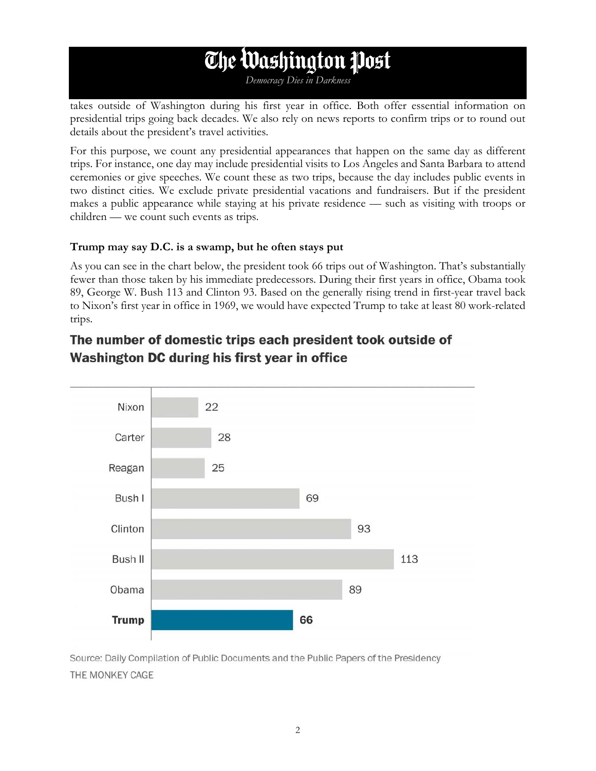# The Washington Post

*Democracy Dies in Darkness*

takes outside of Washington during his first year in office. Both offer essential information on presidential trips going back decades. We also rely on news reports to confirm trips or to round out details about the president's travel activities.

For this purpose, we count any presidential appearances that happen on the same day as different trips. For instance, one day may include presidential visits to Los Angeles and Santa Barbara to attend ceremonies or give speeches. We count these as two trips, because the day includes public events in two distinct cities. We exclude private presidential vacations and fundraisers. But if the president makes a public appearance while staying at his private residence — such as visiting with troops or children — we count such events as trips.

### **Trump may say D.C. is a swamp, but he often stays put**

As you can see in the chart below, the president took 66 trips out of Washington. That's substantially fewer than those taken by his immediate predecessors. During their first years in office, Obama took 89, George W. Bush 113 and Clinton 93. Based on the generally rising trend in first-year travel back to Nixon's first year in office in 1969, we would have expected Trump to take at least 80 work-related trips.

### The number of domestic trips each president took outside of Washington DC during his first year in office



Source: Daily Compilation of Public Documents and the Public Papers of the Presidency THE MONKEY CAGE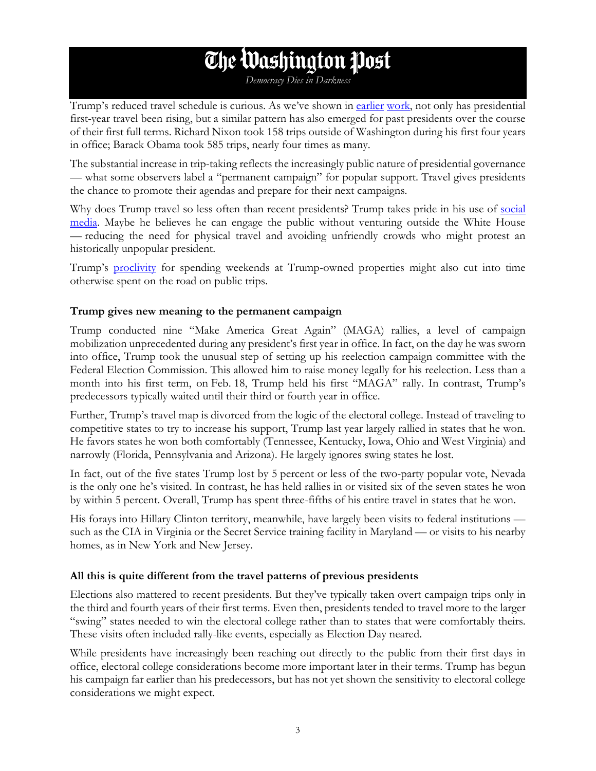## The Washington Post

*Democracy Dies in Darkness*

Trump's reduced travel schedule is curious. As we've shown in [earlier](https://www.brookings.edu/research/what-to-expect-in-the-second-term-presidential-travel-and-the-rise-of-legacy-building-1957-2009/) [work,](http://www.psqonline.org/article.cfm?IDArticle=18434) not only has presidential first-year travel been rising, but a similar pattern has also emerged for past presidents over the course of their first full terms. Richard Nixon took 158 trips outside of Washington during his first four years in office; Barack Obama took 585 trips, nearly four times as many.

The substantial increase in trip-taking reflects the increasingly public nature of presidential governance — what some observers label a "permanent campaign" for popular support. Travel gives presidents the chance to promote their agendas and prepare for their next campaigns.

Why does Trump travel so less often than recent presidents? Trump takes pride in his use of social [media.](http://www.independent.co.uk/news/world/americas/us-politics/donald-trump-tweets-twitter-social-media-facebook-instagram-fox-business-network-would-not-be-a8013491.html) Maybe he believes he can engage the public without venturing outside the White House — reducing the need for physical travel and avoiding unfriendly crowds who might protest an historically unpopular president.

Trump's **[proclivity](https://www.nbcnews.com/politics/donald-trump/how-much-time-trump-spending-trump-properties-n753366)** for spending weekends at Trump-owned properties might also cut into time otherwise spent on the road on public trips.

### **Trump gives new meaning to the permanent campaign**

Trump conducted nine "Make America Great Again" (MAGA) rallies, a level of campaign mobilization unprecedented during any president's first year in office. In fact, on the day he was sworn into office, Trump took the unusual step of setting up his reelection campaign committee with the Federal Election Commission. This allowed him to raise money legally for his reelection. Less than a month into his first term, on Feb. 18, Trump held his first "MAGA" rally. In contrast, Trump's predecessors typically waited until their third or fourth year in office.

Further, Trump's travel map is divorced from the logic of the electoral college. Instead of traveling to competitive states to try to increase his support, Trump last year largely rallied in states that he won. He favors states he won both comfortably (Tennessee, Kentucky, Iowa, Ohio and West Virginia) and narrowly (Florida, Pennsylvania and Arizona). He largely ignores swing states he lost.

In fact, out of the five states Trump lost by 5 percent or less of the two-party popular vote, Nevada is the only one he's visited. In contrast, he has held rallies in or visited six of the seven states he won by within 5 percent. Overall, Trump has spent three-fifths of his entire travel in states that he won.

His forays into Hillary Clinton territory, meanwhile, have largely been visits to federal institutions such as the CIA in Virginia or the Secret Service training facility in Maryland — or visits to his nearby homes, as in New York and New Jersey.

### **All this is quite different from the travel patterns of previous presidents**

Elections also mattered to recent presidents. But they've typically taken overt campaign trips only in the third and fourth years of their first terms. Even then, presidents tended to travel more to the larger "swing" states needed to win the electoral college rather than to states that were comfortably theirs. These visits often included rally-like events, especially as Election Day neared.

While presidents have increasingly been reaching out directly to the public from their first days in office, electoral college considerations become more important later in their terms. Trump has begun his campaign far earlier than his predecessors, but has not yet shown the sensitivity to electoral college considerations we might expect.